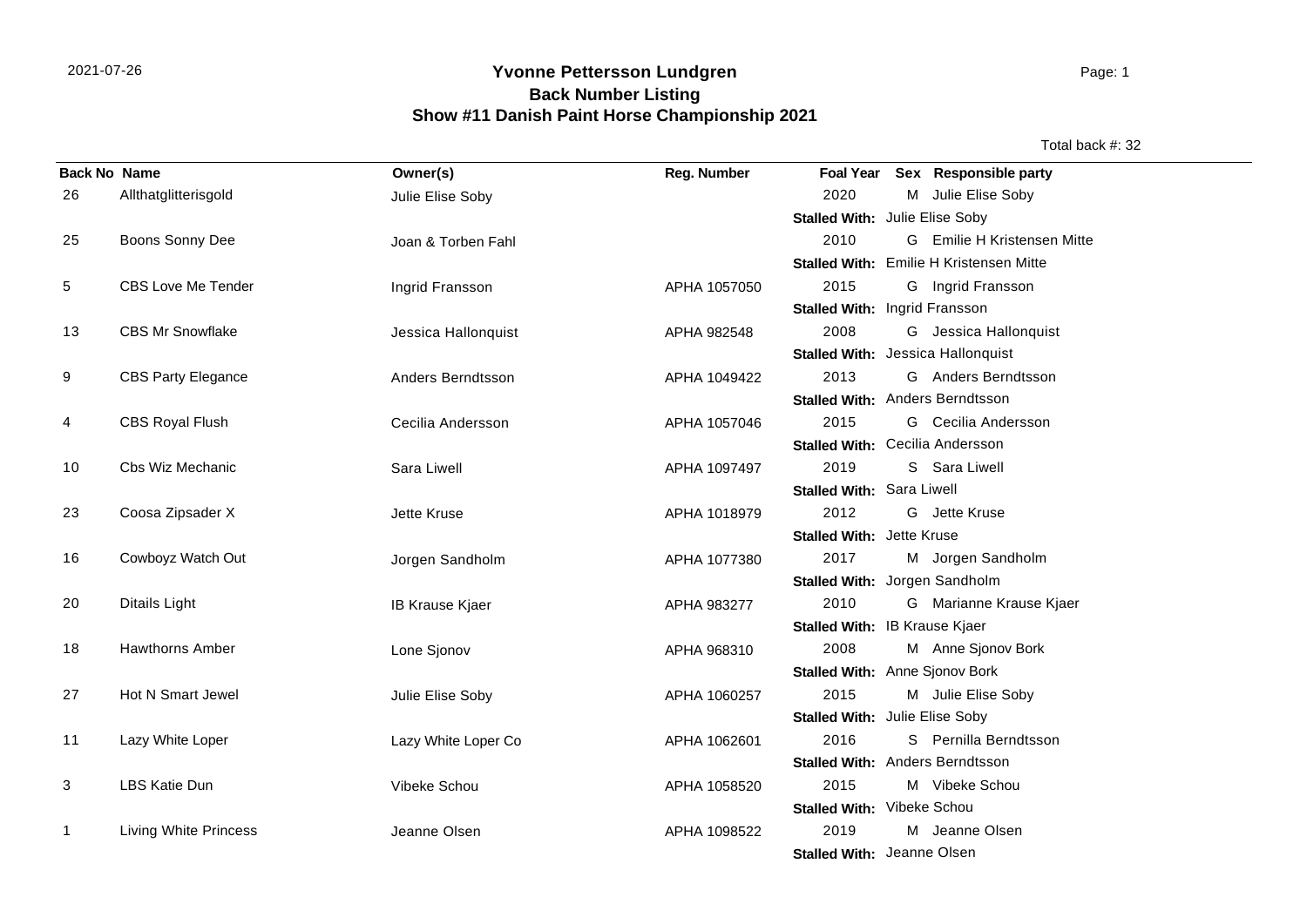## **Yvonne Pettersson Lundgren** 2021-07-26 Page: 1 **Back Number Listing Show #11 Danish Paint Horse Championship 2021**

Total back #: 32

| <b>Back No Name</b> |                           | Owner(s)            | Reg. Number  |                                   | Foal Year Sex Responsible party                |
|---------------------|---------------------------|---------------------|--------------|-----------------------------------|------------------------------------------------|
| 26                  | Allthatglitterisgold      | Julie Elise Soby    |              | 2020                              | M Julie Elise Soby                             |
|                     |                           |                     |              | Stalled With: Julie Elise Soby    |                                                |
| 25                  | Boons Sonny Dee           | Joan & Torben Fahl  |              | 2010                              | G Emilie H Kristensen Mitte                    |
|                     |                           |                     |              |                                   | <b>Stalled With: Emilie H Kristensen Mitte</b> |
| 5                   | <b>CBS Love Me Tender</b> | Ingrid Fransson     | APHA 1057050 | 2015                              | G Ingrid Fransson                              |
|                     |                           |                     |              | Stalled With: Ingrid Fransson     |                                                |
| 13                  | <b>CBS Mr Snowflake</b>   | Jessica Hallonquist | APHA 982548  | 2008                              | G Jessica Hallonquist                          |
|                     |                           |                     |              | Stalled With: Jessica Hallonquist |                                                |
| 9                   | <b>CBS Party Elegance</b> | Anders Berndtsson   | APHA 1049422 | 2013                              | G Anders Berndtsson                            |
|                     |                           |                     |              | Stalled With: Anders Berndtsson   |                                                |
| 4                   | <b>CBS Royal Flush</b>    | Cecilia Andersson   | APHA 1057046 | 2015                              | G Cecilia Andersson                            |
|                     |                           |                     |              | Stalled With: Cecilia Andersson   |                                                |
| 10                  | Cbs Wiz Mechanic          | Sara Liwell         | APHA 1097497 | 2019                              | S Sara Liwell                                  |
|                     |                           |                     |              | Stalled With: Sara Liwell         |                                                |
| 23                  | Coosa Zipsader X          | Jette Kruse         | APHA 1018979 | 2012                              | G Jette Kruse                                  |
|                     |                           |                     |              | <b>Stalled With: Jette Kruse</b>  |                                                |
| 16                  | Cowboyz Watch Out         | Jorgen Sandholm     | APHA 1077380 | 2017                              | M Jorgen Sandholm                              |
|                     |                           |                     |              | Stalled With: Jorgen Sandholm     |                                                |
| 20                  | Ditails Light             | IB Krause Kjaer     | APHA 983277  | 2010                              | G Marianne Krause Kjaer                        |
|                     |                           |                     |              | Stalled With: IB Krause Kjaer     |                                                |
| 18                  | <b>Hawthorns Amber</b>    | Lone Sjonov         | APHA 968310  | 2008                              | M Anne Sjonov Bork                             |
|                     |                           |                     |              | Stalled With: Anne Sjonov Bork    |                                                |
| 27                  | Hot N Smart Jewel         | Julie Elise Soby    | APHA 1060257 | 2015                              | M Julie Elise Soby                             |
|                     |                           |                     |              | Stalled With: Julie Elise Soby    |                                                |
| 11                  | Lazy White Loper          | Lazy White Loper Co | APHA 1062601 | 2016                              | S Pernilla Berndtsson                          |
|                     |                           |                     |              | Stalled With: Anders Berndtsson   |                                                |
| 3                   | <b>LBS Katie Dun</b>      | Vibeke Schou        | APHA 1058520 | 2015                              | M Vibeke Schou                                 |
|                     |                           |                     |              | Stalled With: Vibeke Schou        |                                                |
| $\mathbf 1$         | Living White Princess     | Jeanne Olsen        | APHA 1098522 | 2019                              | M Jeanne Olsen                                 |
|                     |                           |                     |              | Stalled With: Jeanne Olsen        |                                                |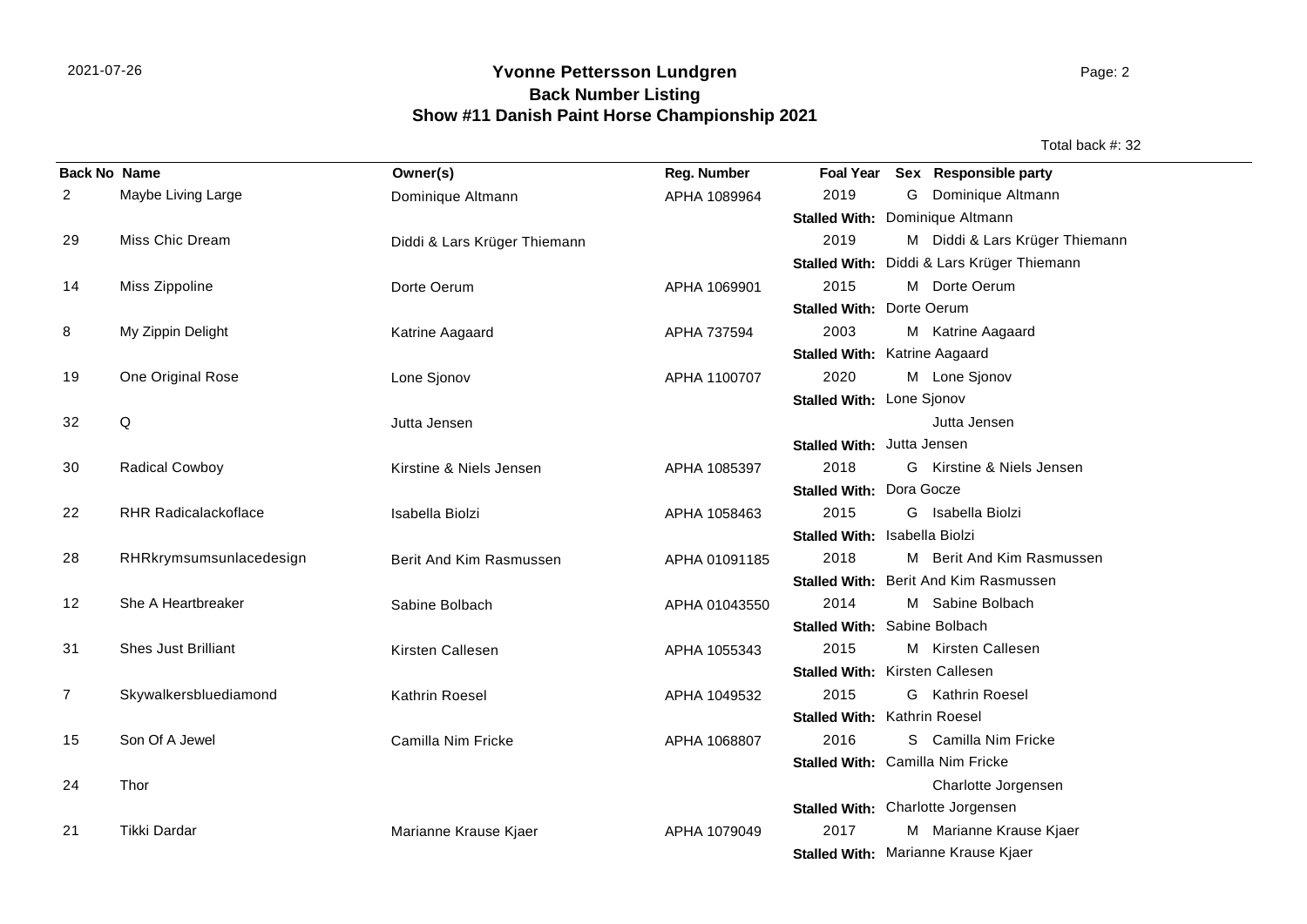## **Yvonne Pettersson Lundgren** 2021-07-26 Page: 2 **Back Number Listing Show #11 Danish Paint Horse Championship 2021**

Total back #: 32

| <b>Back No Name</b> |                             | Owner(s)                     | Reg. Number   |                                      |   | Foal Year Sex Responsible party            |
|---------------------|-----------------------------|------------------------------|---------------|--------------------------------------|---|--------------------------------------------|
| 2                   | Maybe Living Large          | Dominique Altmann            | APHA 1089964  | 2019                                 | G | Dominique Altmann                          |
|                     |                             |                              |               | Stalled With: Dominique Altmann      |   |                                            |
| 29                  | Miss Chic Dream             | Diddi & Lars Krüger Thiemann |               | 2019                                 |   | M Diddi & Lars Krüger Thiemann             |
|                     |                             |                              |               |                                      |   | Stalled With: Diddi & Lars Krüger Thiemann |
| 14                  | Miss Zippoline              | Dorte Oerum                  | APHA 1069901  | 2015                                 |   | M Dorte Oerum                              |
|                     |                             |                              |               | <b>Stalled With: Dorte Oerum</b>     |   |                                            |
| 8                   | My Zippin Delight           | Katrine Aagaard              | APHA 737594   | 2003                                 |   | M Katrine Aagaard                          |
|                     |                             |                              |               | <b>Stalled With: Katrine Aagaard</b> |   |                                            |
| 19                  | One Original Rose           | Lone Sjonov                  | APHA 1100707  | 2020                                 |   | M Lone Sjonov                              |
|                     |                             |                              |               | Stalled With: Lone Sjonov            |   |                                            |
| 32                  | Q                           | Jutta Jensen                 |               |                                      |   | Jutta Jensen                               |
|                     |                             |                              |               | Stalled With: Jutta Jensen           |   |                                            |
| 30                  | <b>Radical Cowboy</b>       | Kirstine & Niels Jensen      | APHA 1085397  | 2018                                 |   | G Kirstine & Niels Jensen                  |
|                     |                             |                              |               | <b>Stalled With: Dora Gocze</b>      |   |                                            |
| 22                  | <b>RHR Radicalackoflace</b> | Isabella Biolzi              | APHA 1058463  | 2015                                 |   | G Isabella Biolzi                          |
|                     |                             |                              |               | Stalled With: Isabella Biolzi        |   |                                            |
| 28                  | RHRkrymsumsunlacedesign     | Berit And Kim Rasmussen      | APHA 01091185 | 2018                                 |   | M Berit And Kim Rasmussen                  |
|                     |                             |                              |               |                                      |   | Stalled With: Berit And Kim Rasmussen      |
| 12                  | She A Heartbreaker          | Sabine Bolbach               | APHA 01043550 | 2014                                 |   | M Sabine Bolbach                           |
|                     |                             |                              |               | Stalled With: Sabine Bolbach         |   |                                            |
| 31                  | <b>Shes Just Brilliant</b>  | Kirsten Callesen             | APHA 1055343  | 2015                                 |   | M Kirsten Callesen                         |
|                     |                             |                              |               | Stalled With: Kirsten Callesen       |   |                                            |
| 7                   | Skywalkersbluediamond       | Kathrin Roesel               | APHA 1049532  | 2015                                 |   | <b>G</b> Kathrin Roesel                    |
|                     |                             |                              |               | Stalled With: Kathrin Roesel         |   |                                            |
| 15                  | Son Of A Jewel              | Camilla Nim Fricke           | APHA 1068807  | 2016                                 |   | S Camilla Nim Fricke                       |
|                     |                             |                              |               | Stalled With: Camilla Nim Fricke     |   |                                            |
| 24                  | Thor                        |                              |               |                                      |   | Charlotte Jorgensen                        |
|                     |                             |                              |               |                                      |   | Stalled With: Charlotte Jorgensen          |
| 21                  | Tikki Dardar                | Marianne Krause Kjaer        | APHA 1079049  | 2017                                 |   | M Marianne Krause Kjaer                    |
|                     |                             |                              |               |                                      |   | Stalled With: Marianne Krause Kjaer        |